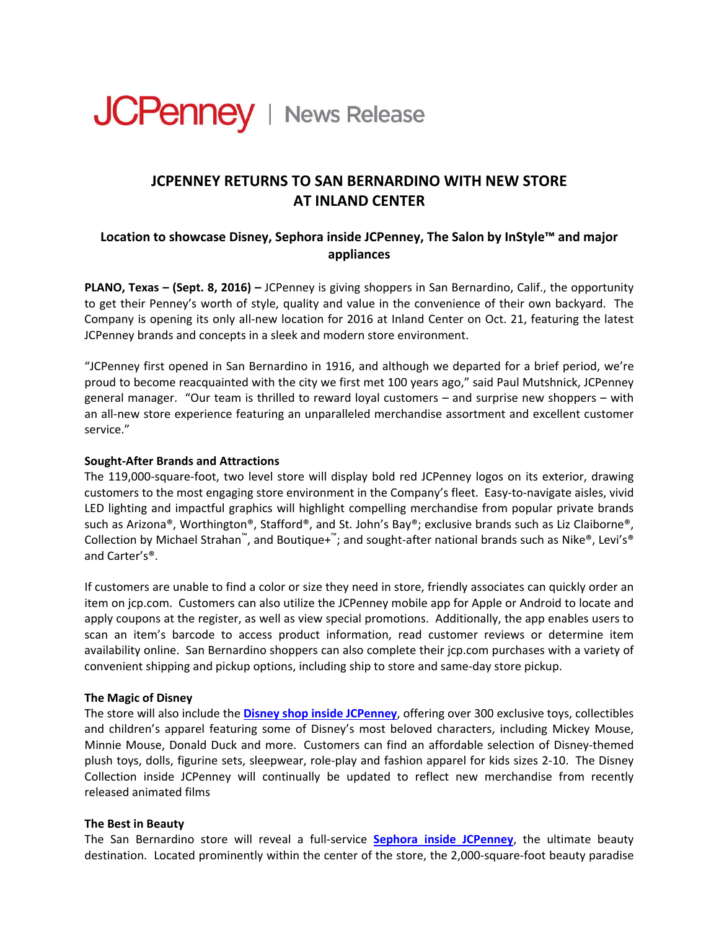

# **JCPENNEY RETURNS TO SAN BERNARDINO WITH NEW STORE AT INLAND CENTER**

## **Location to showcase Disney, Sephora inside JCPenney, The Salon by InStyle™ and major appliances**

**PLANO, Texas – (Sept. 8, 2016) –** JCPenney is giving shoppers in San Bernardino, Calif., the opportunity to get their Penney's worth of style, quality and value in the convenience of their own backyard. The Company is opening its only all‐new location for 2016 at Inland Center on Oct. 21, featuring the latest JCPenney brands and concepts in a sleek and modern store environment.

"JCPenney first opened in San Bernardino in 1916, and although we departed for a brief period, we're proud to become reacquainted with the city we first met 100 years ago," said Paul Mutshnick, JCPenney general manager. "Our team is thrilled to reward loyal customers – and surprise new shoppers – with an all-new store experience featuring an unparalleled merchandise assortment and excellent customer service."

#### **Sought‐After Brands and Attractions**

The 119,000‐square‐foot, two level store will display bold red JCPenney logos on its exterior, drawing customers to the most engaging store environment in the Company's fleet. Easy‐to‐navigate aisles, vivid LED lighting and impactful graphics will highlight compelling merchandise from popular private brands such as Arizona®, Worthington®, Stafford®, and St. John's Bay®; exclusive brands such as Liz Claiborne®, Collection by Michael Strahan™, and Boutique+™; and sought-after national brands such as Nike®, Levi's® and Carter's®.

If customers are unable to find a color or size they need in store, friendly associates can quickly order an item on jcp.com. Customers can also utilize the JCPenney mobile app for Apple or Android to locate and apply coupons at the register, as well as view special promotions. Additionally, the app enables users to scan an item's barcode to access product information, read customer reviews or determine item availability online. San Bernardino shoppers can also complete their jcp.com purchases with a variety of convenient shipping and pickup options, including ship to store and same‐day store pickup.

#### **The Magic of Disney**

The store will also include the **Disney shop inside [JCPenney](http://www.jcpenney.com/g/disney-kids/N-bwo40ZqaZ1z0prqlZ1eh?cmJCP_T=G1&cmJCP_C=D9)**, offering over 300 exclusive toys, collectibles and children's apparel featuring some of Disney's most beloved characters, including Mickey Mouse, Minnie Mouse, Donald Duck and more. Customers can find an affordable selection of Disney‐themed plush toys, dolls, figurine sets, sleepwear, role‐play and fashion apparel for kids sizes 2‐10. The Disney Collection inside JCPenney will continually be updated to reflect new merchandise from recently released animated films

#### **The Best in Beauty**

The San Bernardino store will reveal a full‐service **Sephora inside [JCPenney](http://www.jcpenney.com/g/sephora/N-1b1vba2?pageType=X2H2&cmJCP_T=G1&cmJCP_C=D15B)**, the ultimate beauty destination. Located prominently within the center of the store, the 2,000‐square‐foot beauty paradise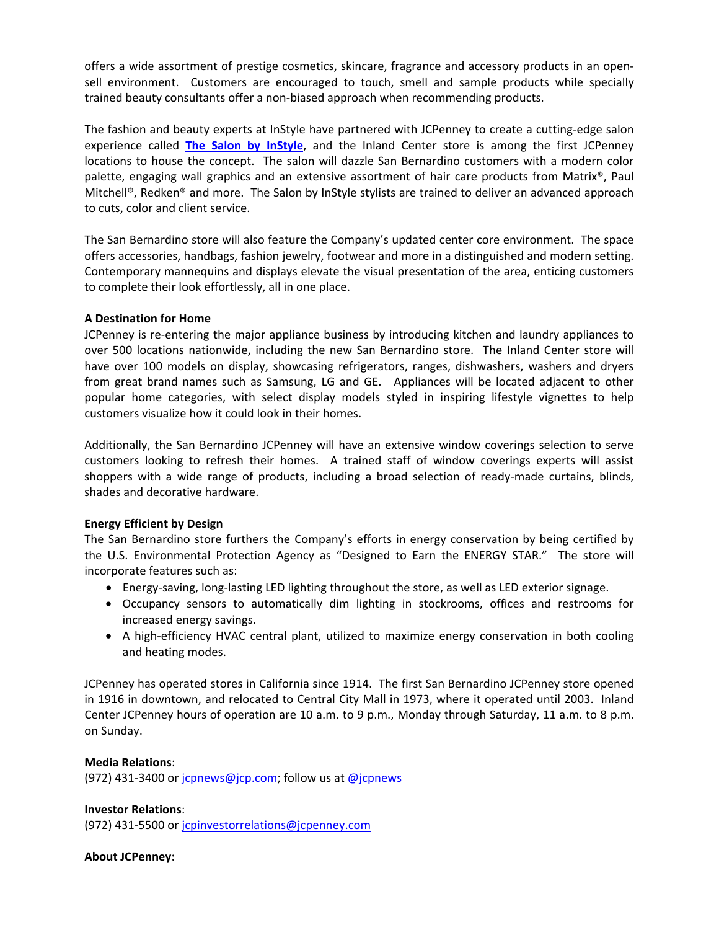offers a wide assortment of prestige cosmetics, skincare, fragrance and accessory products in an open‐ sell environment. Customers are encouraged to touch, smell and sample products while specially trained beauty consultants offer a non‐biased approach when recommending products.

The fashion and beauty experts at InStyle have partnered with JCPenney to create a cutting‐edge salon experience called **The Salon by [InStyle](http://www.jcpnewsroom.com/posts/271/JCPenney-Partners-with-InStyle-Magazine-to-Roll-Out-an-Entirely-New-Salon-Experience)**, and the Inland Center store is among the first JCPenney locations to house the concept. The salon will dazzle San Bernardino customers with a modern color palette, engaging wall graphics and an extensive assortment of hair care products from Matrix®, Paul Mitchell®, Redken® and more. The Salon by InStyle stylists are trained to deliver an advanced approach to cuts, color and client service.

The San Bernardino store will also feature the Company's updated center core environment. The space offers accessories, handbags, fashion jewelry, footwear and more in a distinguished and modern setting. Contemporary mannequins and displays elevate the visual presentation of the area, enticing customers to complete their look effortlessly, all in one place.

## **A Destination for Home**

JCPenney is re‐entering the major appliance business by introducing kitchen and laundry appliances to over 500 locations nationwide, including the new San Bernardino store. The Inland Center store will have over 100 models on display, showcasing refrigerators, ranges, dishwashers, washers and dryers from great brand names such as Samsung, LG and GE. Appliances will be located adjacent to other popular home categories, with select display models styled in inspiring lifestyle vignettes to help customers visualize how it could look in their homes.

Additionally, the San Bernardino JCPenney will have an extensive window coverings selection to serve customers looking to refresh their homes. A trained staff of window coverings experts will assist shoppers with a wide range of products, including a broad selection of ready-made curtains, blinds, shades and decorative hardware.

## **Energy Efficient by Design**

The San Bernardino store furthers the Company's efforts in energy conservation by being certified by the U.S. Environmental Protection Agency as "Designed to Earn the ENERGY STAR." The store will incorporate features such as:

- Energy-saving, long-lasting LED lighting throughout the store, as well as LED exterior signage.
- Occupancy sensors to automatically dim lighting in stockrooms, offices and restrooms for increased energy savings.
- A high-efficiency HVAC central plant, utilized to maximize energy conservation in both cooling and heating modes.

JCPenney has operated stores in California since 1914. The first San Bernardino JCPenney store opened in 1916 in downtown, and relocated to Central City Mall in 1973, where it operated until 2003. Inland Center JCPenney hours of operation are 10 a.m. to 9 p.m., Monday through Saturday, 11 a.m. to 8 p.m. on Sunday.

## **Media Relations**:

(972) 431-3400 or  $i$ cpnews@jcp.com; follow us at [@jcpnews](http://www.twitter.com/jcpnews)

## **Investor Relations**:

(972) 431-5500 or [jcpinvestorrelations@jcpenney.com](mailto:jcpinvestorrelations@jcpenney.com)

#### **About JCPenney:**